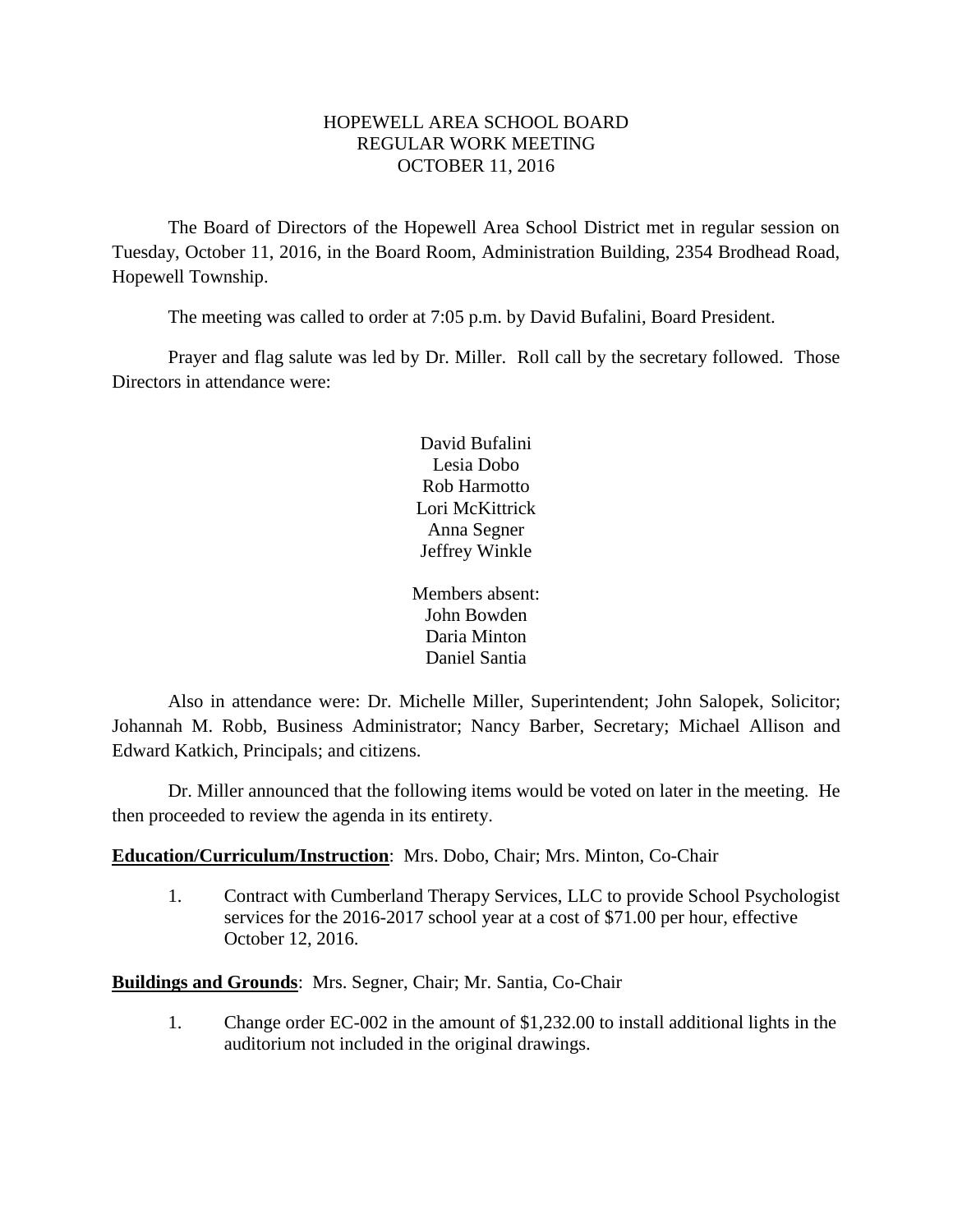## HOPEWELL AREA SCHOOL BOARD REGULAR WORK MEETING OCTOBER 11, 2016

The Board of Directors of the Hopewell Area School District met in regular session on Tuesday, October 11, 2016, in the Board Room, Administration Building, 2354 Brodhead Road, Hopewell Township.

The meeting was called to order at 7:05 p.m. by David Bufalini, Board President.

Prayer and flag salute was led by Dr. Miller. Roll call by the secretary followed. Those Directors in attendance were:

> David Bufalini Lesia Dobo Rob Harmotto Lori McKittrick Anna Segner Jeffrey Winkle

Members absent: John Bowden Daria Minton Daniel Santia

Also in attendance were: Dr. Michelle Miller, Superintendent; John Salopek, Solicitor; Johannah M. Robb, Business Administrator; Nancy Barber, Secretary; Michael Allison and Edward Katkich, Principals; and citizens.

Dr. Miller announced that the following items would be voted on later in the meeting. He then proceeded to review the agenda in its entirety.

# **Education/Curriculum/Instruction**: Mrs. Dobo, Chair; Mrs. Minton, Co-Chair

1. Contract with Cumberland Therapy Services, LLC to provide School Psychologist services for the 2016-2017 school year at a cost of \$71.00 per hour, effective October 12, 2016.

**Buildings and Grounds**: Mrs. Segner, Chair; Mr. Santia, Co-Chair

1. Change order EC-002 in the amount of \$1,232.00 to install additional lights in the auditorium not included in the original drawings.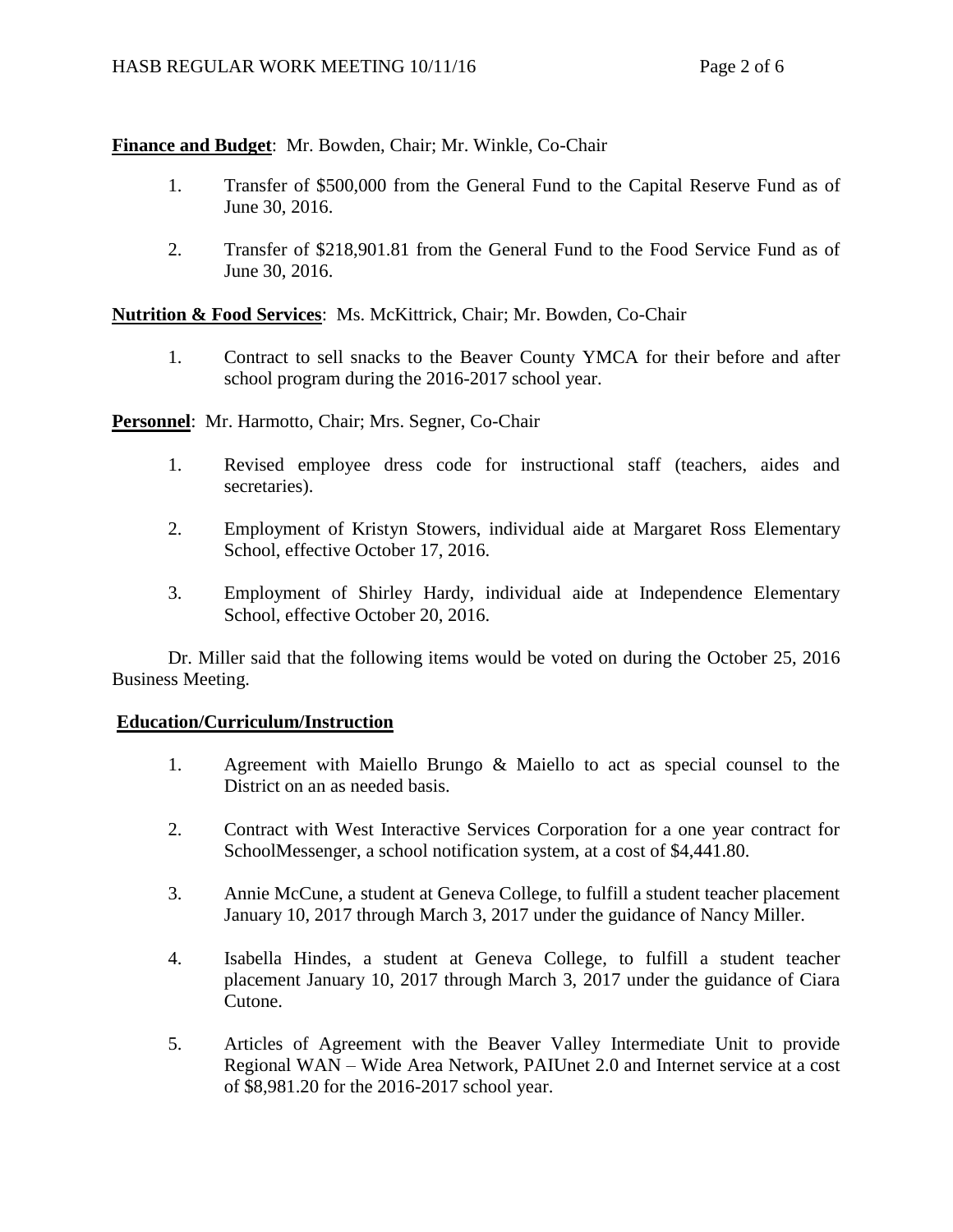## **Finance and Budget**: Mr. Bowden, Chair; Mr. Winkle, Co-Chair

- 1. Transfer of \$500,000 from the General Fund to the Capital Reserve Fund as of June 30, 2016.
- 2. Transfer of \$218,901.81 from the General Fund to the Food Service Fund as of June 30, 2016.

**Nutrition & Food Services**: Ms. McKittrick, Chair; Mr. Bowden, Co-Chair

1. Contract to sell snacks to the Beaver County YMCA for their before and after school program during the 2016-2017 school year.

**Personnel**: Mr. Harmotto, Chair; Mrs. Segner, Co-Chair

- 1. Revised employee dress code for instructional staff (teachers, aides and secretaries).
- 2. Employment of Kristyn Stowers, individual aide at Margaret Ross Elementary School, effective October 17, 2016.
- 3. Employment of Shirley Hardy, individual aide at Independence Elementary School, effective October 20, 2016.

Dr. Miller said that the following items would be voted on during the October 25, 2016 Business Meeting.

## **Education/Curriculum/Instruction**

- 1. Agreement with Maiello Brungo & Maiello to act as special counsel to the District on an as needed basis.
- 2. Contract with West Interactive Services Corporation for a one year contract for SchoolMessenger, a school notification system, at a cost of \$4,441.80.
- 3. Annie McCune, a student at Geneva College, to fulfill a student teacher placement January 10, 2017 through March 3, 2017 under the guidance of Nancy Miller.
- 4. Isabella Hindes, a student at Geneva College, to fulfill a student teacher placement January 10, 2017 through March 3, 2017 under the guidance of Ciara Cutone.
- 5. Articles of Agreement with the Beaver Valley Intermediate Unit to provide Regional WAN – Wide Area Network, PAIUnet 2.0 and Internet service at a cost of \$8,981.20 for the 2016-2017 school year.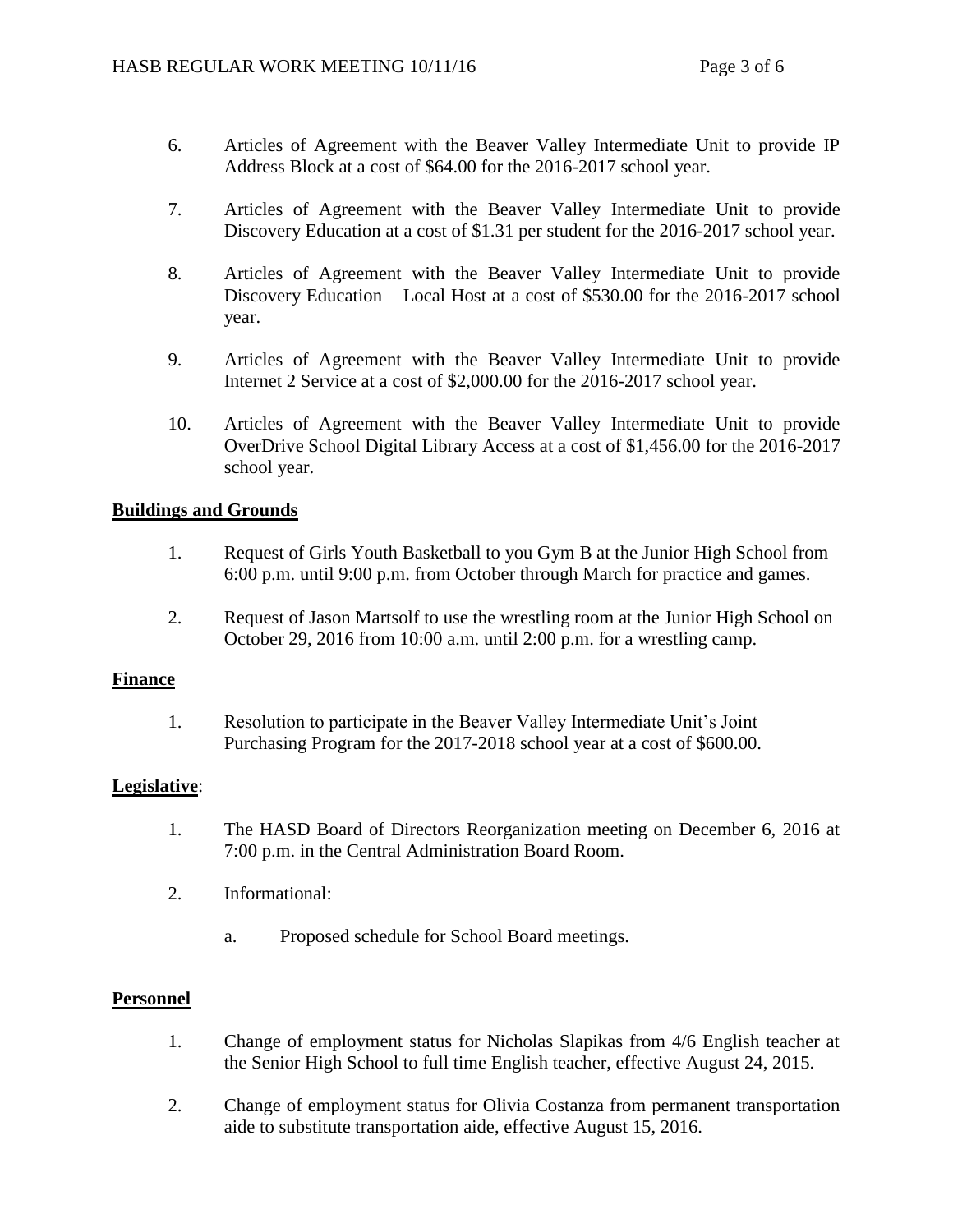- 6. Articles of Agreement with the Beaver Valley Intermediate Unit to provide IP Address Block at a cost of \$64.00 for the 2016-2017 school year.
- 7. Articles of Agreement with the Beaver Valley Intermediate Unit to provide Discovery Education at a cost of \$1.31 per student for the 2016-2017 school year.
- 8. Articles of Agreement with the Beaver Valley Intermediate Unit to provide Discovery Education – Local Host at a cost of \$530.00 for the 2016-2017 school year.
- 9. Articles of Agreement with the Beaver Valley Intermediate Unit to provide Internet 2 Service at a cost of \$2,000.00 for the 2016-2017 school year.
- 10. Articles of Agreement with the Beaver Valley Intermediate Unit to provide OverDrive School Digital Library Access at a cost of \$1,456.00 for the 2016-2017 school year.

## **Buildings and Grounds**

- 1. Request of Girls Youth Basketball to you Gym B at the Junior High School from 6:00 p.m. until 9:00 p.m. from October through March for practice and games.
- 2. Request of Jason Martsolf to use the wrestling room at the Junior High School on October 29, 2016 from 10:00 a.m. until 2:00 p.m. for a wrestling camp.

## **Finance**

1. Resolution to participate in the Beaver Valley Intermediate Unit's Joint Purchasing Program for the 2017-2018 school year at a cost of \$600.00.

## **Legislative**:

- 1. The HASD Board of Directors Reorganization meeting on December 6, 2016 at 7:00 p.m. in the Central Administration Board Room.
- 2. Informational:
	- a. Proposed schedule for School Board meetings.

## **Personnel**

- 1. Change of employment status for Nicholas Slapikas from 4/6 English teacher at the Senior High School to full time English teacher, effective August 24, 2015.
- 2. Change of employment status for Olivia Costanza from permanent transportation aide to substitute transportation aide, effective August 15, 2016.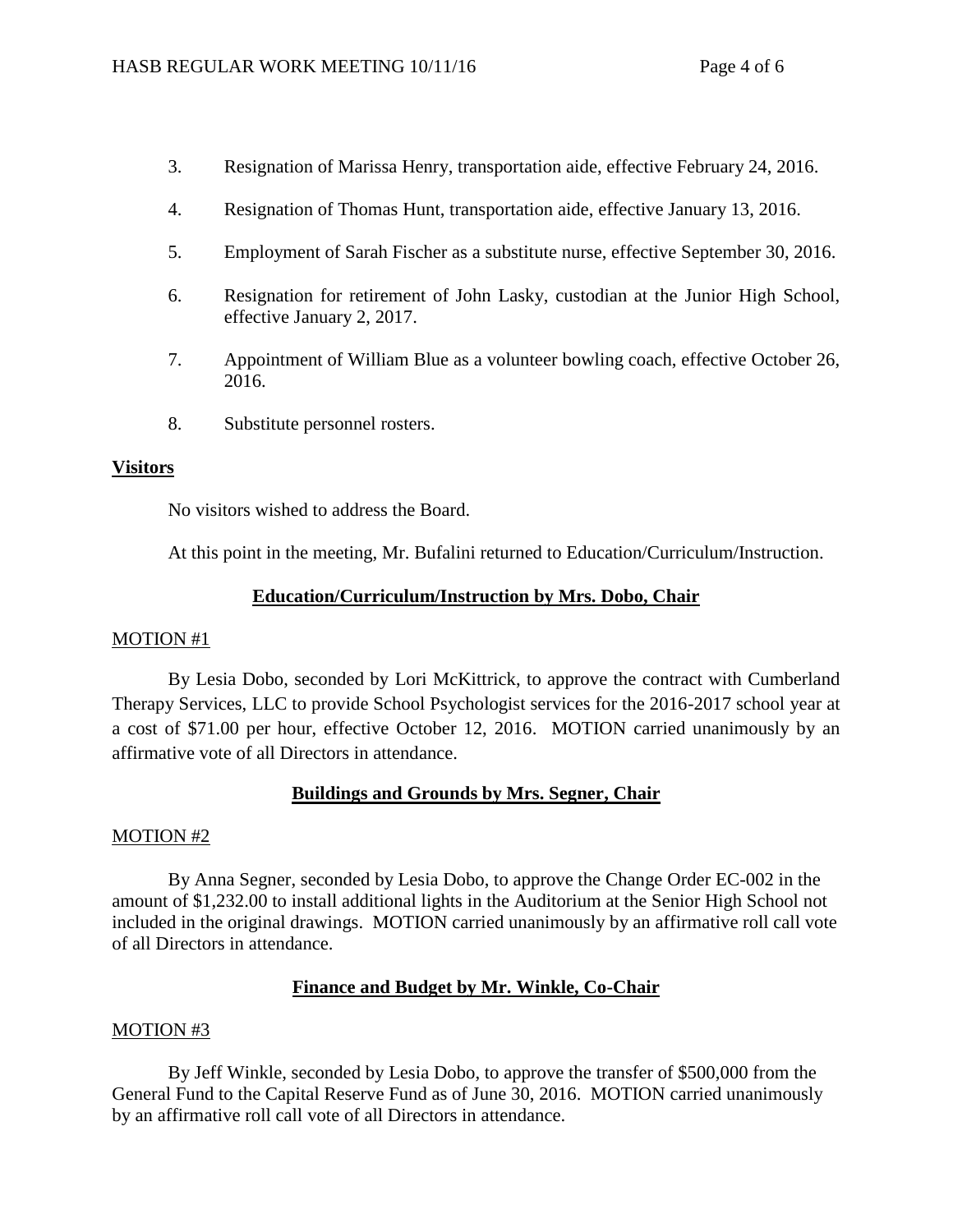- 3. Resignation of Marissa Henry, transportation aide, effective February 24, 2016.
- 4. Resignation of Thomas Hunt, transportation aide, effective January 13, 2016.
- 5. Employment of Sarah Fischer as a substitute nurse, effective September 30, 2016.
- 6. Resignation for retirement of John Lasky, custodian at the Junior High School, effective January 2, 2017.
- 7. Appointment of William Blue as a volunteer bowling coach, effective October 26, 2016.
- 8. Substitute personnel rosters.

# **Visitors**

No visitors wished to address the Board.

At this point in the meeting, Mr. Bufalini returned to Education/Curriculum/Instruction.

# **Education/Curriculum/Instruction by Mrs. Dobo, Chair**

## MOTION #1

By Lesia Dobo, seconded by Lori McKittrick, to approve the contract with Cumberland Therapy Services, LLC to provide School Psychologist services for the 2016-2017 school year at a cost of \$71.00 per hour, effective October 12, 2016. MOTION carried unanimously by an affirmative vote of all Directors in attendance.

# **Buildings and Grounds by Mrs. Segner, Chair**

## MOTION #2

By Anna Segner, seconded by Lesia Dobo, to approve the Change Order EC-002 in the amount of \$1,232.00 to install additional lights in the Auditorium at the Senior High School not included in the original drawings. MOTION carried unanimously by an affirmative roll call vote of all Directors in attendance.

# **Finance and Budget by Mr. Winkle, Co-Chair**

# MOTION #3

By Jeff Winkle, seconded by Lesia Dobo, to approve the transfer of \$500,000 from the General Fund to the Capital Reserve Fund as of June 30, 2016. MOTION carried unanimously by an affirmative roll call vote of all Directors in attendance.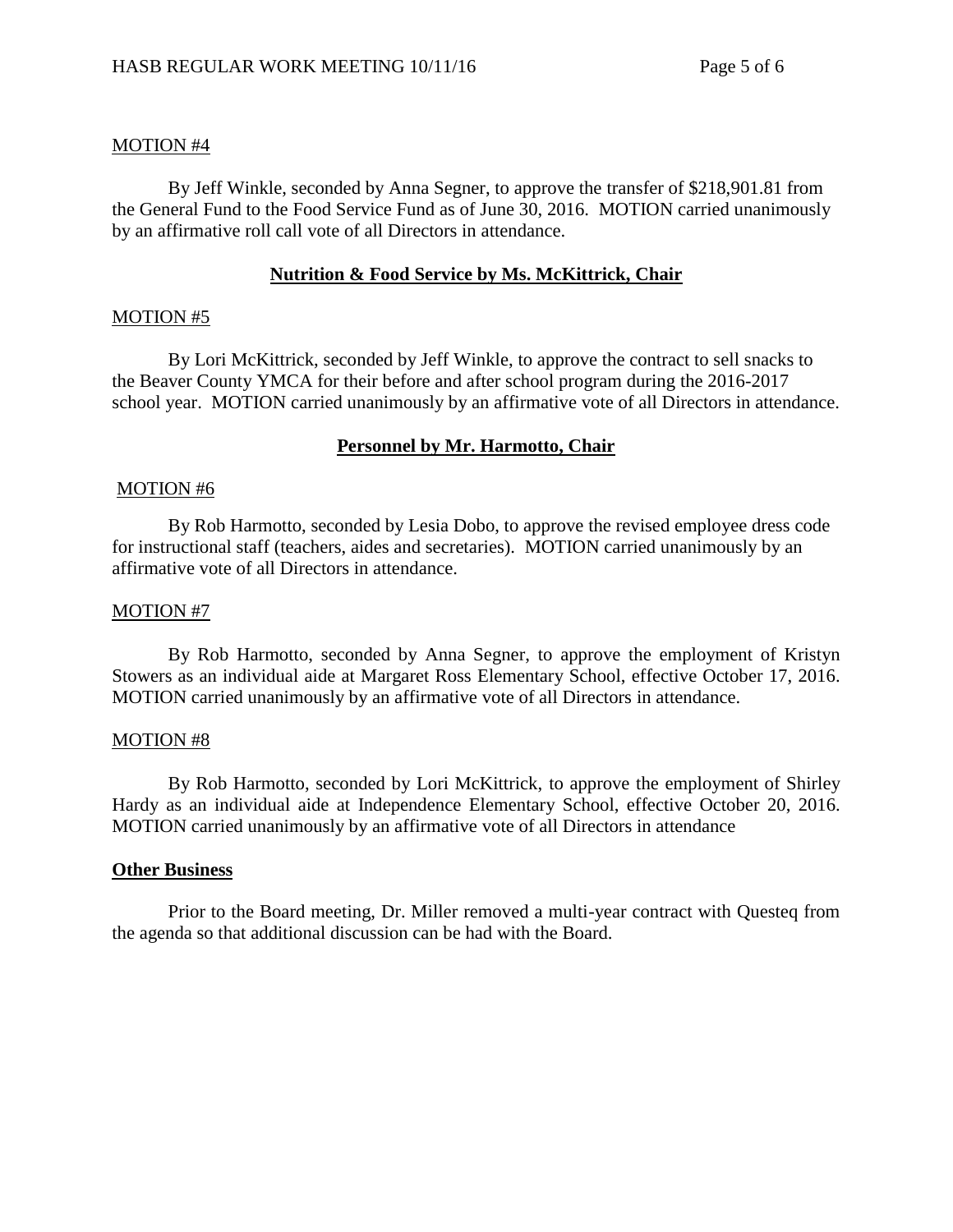## MOTION #4

By Jeff Winkle, seconded by Anna Segner, to approve the transfer of \$218,901.81 from the General Fund to the Food Service Fund as of June 30, 2016. MOTION carried unanimously by an affirmative roll call vote of all Directors in attendance.

## **Nutrition & Food Service by Ms. McKittrick, Chair**

#### MOTION #5

By Lori McKittrick, seconded by Jeff Winkle, to approve the contract to sell snacks to the Beaver County YMCA for their before and after school program during the 2016-2017 school year. MOTION carried unanimously by an affirmative vote of all Directors in attendance.

## **Personnel by Mr. Harmotto, Chair**

#### MOTION #6

By Rob Harmotto, seconded by Lesia Dobo, to approve the revised employee dress code for instructional staff (teachers, aides and secretaries). MOTION carried unanimously by an affirmative vote of all Directors in attendance.

#### MOTION #7

By Rob Harmotto, seconded by Anna Segner, to approve the employment of Kristyn Stowers as an individual aide at Margaret Ross Elementary School, effective October 17, 2016. MOTION carried unanimously by an affirmative vote of all Directors in attendance.

#### MOTION #8

By Rob Harmotto, seconded by Lori McKittrick, to approve the employment of Shirley Hardy as an individual aide at Independence Elementary School, effective October 20, 2016. MOTION carried unanimously by an affirmative vote of all Directors in attendance

#### **Other Business**

Prior to the Board meeting, Dr. Miller removed a multi-year contract with Questeq from the agenda so that additional discussion can be had with the Board.